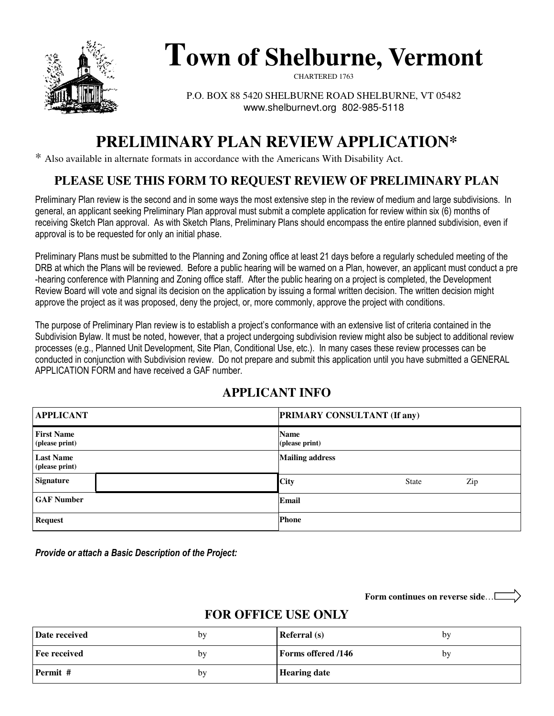

# **Town of Shelburne, Vermont**

CHARTERED 1763

P.O. BOX 88 5420 SHELBURNE ROAD SHELBURNE, VT 05482 www.shelburnevt.org 802-985-5118

## **PRELIMINARY PLAN REVIEW APPLICATION\***

\* Also available in alternate formats in accordance with the Americans With Disability Act.

## **PLEASE USE THIS FORM TO REQUEST REVIEW OF PRELIMINARY PLAN**

Preliminary Plan review is the second and in some ways the most extensive step in the review of medium and large subdivisions. In general, an applicant seeking Preliminary Plan approval must submit a complete application for review within six (6) months of receiving Sketch Plan approval. As with Sketch Plans, Preliminary Plans should encompass the entire planned subdivision, even if approval is to be requested for only an initial phase.

Preliminary Plans must be submitted to the Planning and Zoning office at least 21 days before a regularly scheduled meeting of the DRB at which the Plans will be reviewed. Before a public hearing will be warned on a Plan, however, an applicant must conduct a pre -hearing conference with Planning and Zoning office staff. After the public hearing on a project is completed, the Development Review Board will vote and signal its decision on the application by issuing a formal written decision. The written decision might approve the project as it was proposed, deny the project, or, more commonly, approve the project with conditions.

The purpose of Preliminary Plan review is to establish a project's conformance with an extensive list of criteria contained in the Subdivision Bylaw. It must be noted, however, that a project undergoing subdivision review might also be subject to additional review processes (e.g., Planned Unit Development, Site Plan, Conditional Use, etc.). In many cases these review processes can be conducted in conjunction with Subdivision review. Do not prepare and submit this application until you have submitted a GENERAL APPLICATION FORM and have received a GAF number.

## **APPLICANT INFO**

| <b>APPLICANT</b>                    | <b>PRIMARY CONSULTANT (If any)</b> |  |  |
|-------------------------------------|------------------------------------|--|--|
| <b>First Name</b><br>(please print) | <b>Name</b><br>(please print)      |  |  |
| <b>Last Name</b><br>(please print)  | <b>Mailing address</b>             |  |  |
| <b>Signature</b>                    | City<br>Zip<br><b>State</b>        |  |  |
| <b>GAF Number</b>                   | Email                              |  |  |
| <b>Request</b>                      | <b>Phone</b>                       |  |  |

Provide or attach a Basic Description of the Project:

**Form continues on reverse side**…

## **FOR OFFICE USE ONLY**

| Date received | by | <b>Referral</b> (s)       | bv |
|---------------|----|---------------------------|----|
| Fee received  | bv | <b>Forms offered /146</b> | bv |
| Permit #      | by | <b>Hearing date</b>       |    |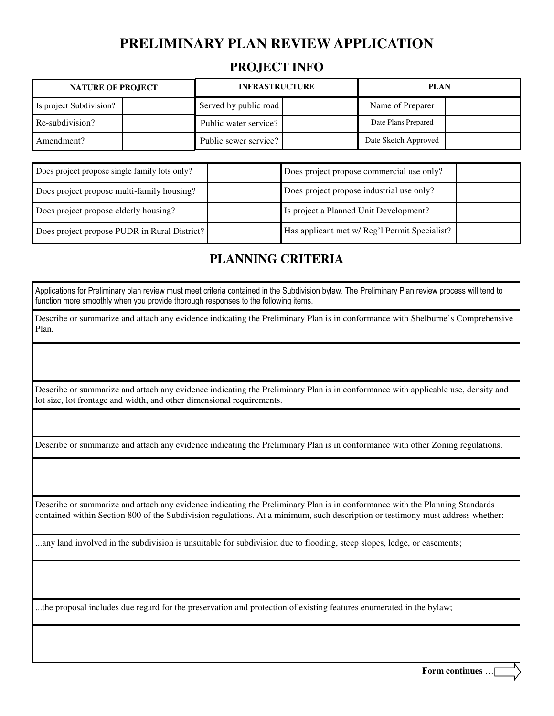#### **PROJECT INFO**

| <b>NATURE OF PROJECT</b> |  | <b>INFRASTRUCTURE</b> |  | <b>PLAN</b>          |  |
|--------------------------|--|-----------------------|--|----------------------|--|
| Is project Subdivision?  |  | Served by public road |  | Name of Preparer     |  |
| Re-subdivision?          |  | Public water service? |  | Date Plans Prepared  |  |
| Amendment?               |  | Public sewer service? |  | Date Sketch Approved |  |

| Does project propose single family lots only? | Does project propose commercial use only?     |
|-----------------------------------------------|-----------------------------------------------|
| Does project propose multi-family housing?    | Does project propose industrial use only?     |
| Does project propose elderly housing?         | Is project a Planned Unit Development?        |
| Does project propose PUDR in Rural District?  | Has applicant met w/ Reg'l Permit Specialist? |

## **PLANNING CRITERIA**

Applications for Preliminary plan review must meet criteria contained in the Subdivision bylaw. The Preliminary Plan review process will tend to function more smoothly when you provide thorough responses to the following items.

Describe or summarize and attach any evidence indicating the Preliminary Plan is in conformance with Shelburne's Comprehensive Plan.

Describe or summarize and attach any evidence indicating the Preliminary Plan is in conformance with applicable use, density and lot size, lot frontage and width, and other dimensional requirements.

Describe or summarize and attach any evidence indicating the Preliminary Plan is in conformance with other Zoning regulations.

Describe or summarize and attach any evidence indicating the Preliminary Plan is in conformance with the Planning Standards contained within Section 800 of the Subdivision regulations. At a minimum, such description or testimony must address whether:

...any land involved in the subdivision is unsuitable for subdivision due to flooding, steep slopes, ledge, or easements;

...the proposal includes due regard for the preservation and protection of existing features enumerated in the bylaw;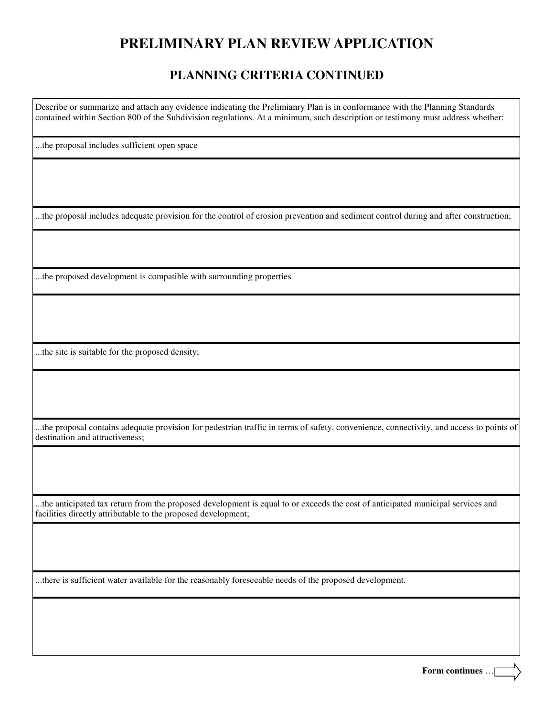#### **PLANNING CRITERIA CONTINUED**

Describe or summarize and attach any evidence indicating the Prelimianry Plan is in conformance with the Planning Standards contained within Section 800 of the Subdivision regulations. At a minimum, such description or testimony must address whether:

...the proposal includes sufficient open space

...the proposal includes adequate provision for the control of erosion prevention and sediment control during and after construction;

...the proposed development is compatible with surrounding properties

...the site is suitable for the proposed density;

...the proposal contains adequate provision for pedestrian traffic in terms of safety, convenience, connectivity, and access to points of destination and attractiveness;

...the anticipated tax return from the proposed development is equal to or exceeds the cost of anticipated municipal services and facilities directly attributable to the proposed development;

...there is sufficient water available for the reasonably foreseeable needs of the proposed development.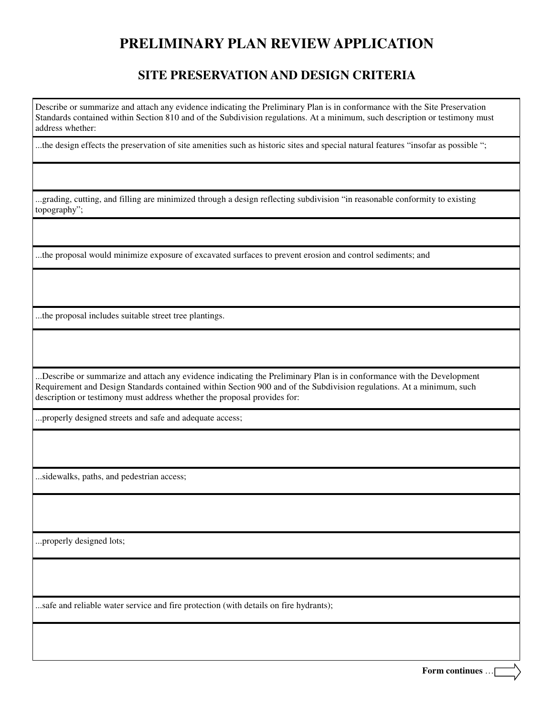#### **SITE PRESERVATION AND DESIGN CRITERIA**

Describe or summarize and attach any evidence indicating the Preliminary Plan is in conformance with the Site Preservation Standards contained within Section 810 and of the Subdivision regulations. At a minimum, such description or testimony must address whether:

...the design effects the preservation of site amenities such as historic sites and special natural features "insofar as possible ";

...grading, cutting, and filling are minimized through a design reflecting subdivision "in reasonable conformity to existing topography";

...the proposal would minimize exposure of excavated surfaces to prevent erosion and control sediments; and

...the proposal includes suitable street tree plantings.

...Describe or summarize and attach any evidence indicating the Preliminary Plan is in conformance with the Development Requirement and Design Standards contained within Section 900 and of the Subdivision regulations. At a minimum, such description or testimony must address whether the proposal provides for:

...properly designed streets and safe and adequate access;

...sidewalks, paths, and pedestrian access;

...properly designed lots;

...safe and reliable water service and fire protection (with details on fire hydrants);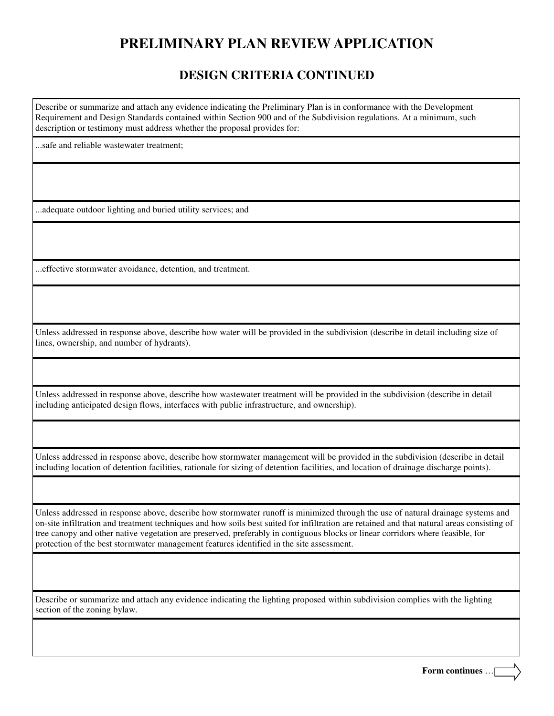#### **DESIGN CRITERIA CONTINUED**

Describe or summarize and attach any evidence indicating the Preliminary Plan is in conformance with the Development Requirement and Design Standards contained within Section 900 and of the Subdivision regulations. At a minimum, such description or testimony must address whether the proposal provides for:

...safe and reliable wastewater treatment;

...adequate outdoor lighting and buried utility services; and

...effective stormwater avoidance, detention, and treatment.

Unless addressed in response above, describe how water will be provided in the subdivision (describe in detail including size of lines, ownership, and number of hydrants).

Unless addressed in response above, describe how wastewater treatment will be provided in the subdivision (describe in detail including anticipated design flows, interfaces with public infrastructure, and ownership).

Unless addressed in response above, describe how stormwater management will be provided in the subdivision (describe in detail including location of detention facilities, rationale for sizing of detention facilities, and location of drainage discharge points).

Unless addressed in response above, describe how stormwater runoff is minimized through the use of natural drainage systems and on-site infiltration and treatment techniques and how soils best suited for infiltration are retained and that natural areas consisting of tree canopy and other native vegetation are preserved, preferably in contiguous blocks or linear corridors where feasible, for protection of the best stormwater management features identified in the site assessment.

Describe or summarize and attach any evidence indicating the lighting proposed within subdivision complies with the lighting section of the zoning bylaw.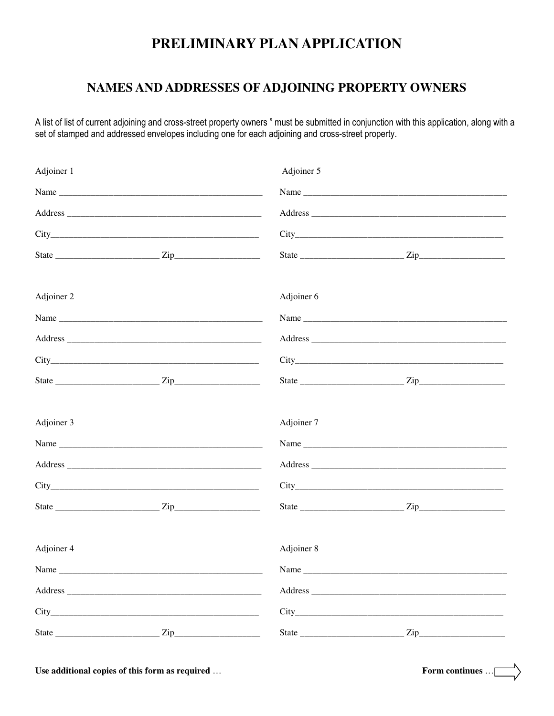## PRELIMINARY PLAN APPLICATION

#### NAMES AND ADDRESSES OF ADJOINING PROPERTY OWNERS

A list of list of current adjoining and cross-street property owners " must be submitted in conjunction with this application, along with a set of stamped and addressed envelopes including one for each adjoining and cross-street property.

| Adjoiner 1 | Adjoiner 5 |      |
|------------|------------|------|
|            |            |      |
|            |            |      |
|            |            |      |
|            |            |      |
| Adjoiner 2 | Adjoiner 6 |      |
|            |            | Name |
|            |            |      |
|            |            |      |
|            |            |      |
| Adjoiner 3 | Adjoiner 7 |      |
|            |            |      |
|            |            |      |
|            |            |      |
|            |            |      |
| Adjoiner 4 | Adjoiner 8 |      |
| Name       | Name       |      |
|            |            |      |
|            |            |      |
|            |            |      |

Use additional copies of this form as required ...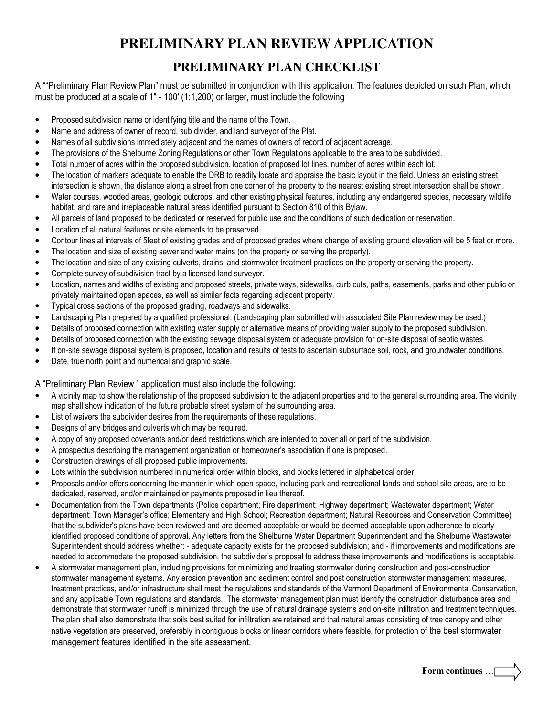### **PRELIMINARY PLAN CHECKLIST**

A ""Preliminary Plan Review Plan" must be submitted in conjunction with this application. The features depicted on such Plan, which must be produced at a scale of 1" - 100' (1:1,200) or larger, must include the following

- Proposed subdivision name or identifying title and the name of the Town.
- Name and address of owner of record, sub divider, and land surveyor of the Plat.
- Names of all subdivisions immediately adjacent and the names of owners of record of adjacent acreage.
- The provisions of the Shelburne Zoning Regulations or other Town Regulations applicable to the area to be subdivided.
- Total number of acres within the proposed subdivision, location of proposed lot lines, number of acres within each lot.
- The location of markers adequate to enable the DRB to readily locate and appraise the basic layout in the field. Unless an existing street intersection is shown, the distance along a street from one corner of the property to the nearest existing street intersection shall be shown.
- Water courses, wooded areas, geologic outcrops, and other existing physical features, including any endangered species, necessary wildlife habitat, and rare and irreplaceable natural areas identified pursuant to Section 810 of this Bylaw.
- All parcels of land proposed to be dedicated or reserved for public use and the conditions of such dedication or reservation.
- Location of all natural features or site elements to be preserved.
- Contour lines at intervals of 5feet of existing grades and of proposed grades where change of existing ground elevation will be 5 feet or more.
- The location and size of existing sewer and water mains (on the property or serving the property).
- The location and size of any existing culverts, drains, and stormwater treatment practices on the property or serving the property.
- Complete survey of subdivision tract by a licensed land surveyor.
- Location, names and widths of existing and proposed streets, private ways, sidewalks, curb cuts, paths, easements, parks and other public or privately maintained open spaces, as well as similar facts regarding adjacent property.
- Typical cross sections of the proposed grading, roadways and sidewalks.
- Landscaping Plan prepared by a qualified professional. (Landscaping plan submitted with associated Site Plan review may be used.)
- Details of proposed connection with existing water supply or alternative means of providing water supply to the proposed subdivision.
- Details of proposed connection with the existing sewage disposal system or adequate provision for on-site disposal of septic wastes.
- If on-site sewage disposal system is proposed, location and results of tests to ascertain subsurface soil, rock, and groundwater conditions.
- Date, true north point and numerical and graphic scale.

A "Preliminary Plan Review " application must also include the following:

- A vicinity map to show the relationship of the proposed subdivision to the adjacent properties and to the general surrounding area. The vicinity map shall show indication of the future probable street system of the surrounding area.
- List of waivers the subdivider desires from the requirements of these regulations.
- Designs of any bridges and culverts which may be required.
- A copy of any proposed covenants and/or deed restrictions which are intended to cover all or part of the subdivision.
- A prospectus describing the management organization or homeowner's association if one is proposed.
- Construction drawings of all proposed public improvements.
- Lots within the subdivision numbered in numerical order within blocks, and blocks lettered in alphabetical order.
- Proposals and/or offers concerning the manner in which open space, including park and recreational lands and school site areas, are to be dedicated, reserved, and/or maintained or payments proposed in lieu thereof.
- Documentation from the Town departments (Police department; Fire department; Highway department; Wastewater department; Water department; Town Manager's office; Elementary and High School; Recreation department; Natural Resources and Conservation Committee) that the subdivider's plans have been reviewed and are deemed acceptable or would be deemed acceptable upon adherence to clearly identified proposed conditions of approval. Any letters from the Shelburne Water Department Superintendent and the Shelburne Wastewater Superintendent should address whether: - adequate capacity exists for the proposed subdivision; and - if improvements and modifications are needed to accommodate the proposed subdivision, the subdivider's proposal to address these improvements and modifications is acceptable.
- A stormwater management plan, including provisions for minimizing and treating stormwater during construction and post-construction stormwater management systems. Any erosion prevention and sediment control and post construction stormwater management measures, treatment practices, and/or infrastructure shall meet the regulations and standards of the Vermont Department of Environmental Conservation, and any applicable Town regulations and standards. The stormwater management plan must identify the construction disturbance area and demonstrate that stormwater runoff is minimized through the use of natural drainage systems and on-site infiltration and treatment techniques. The plan shall also demonstrate that soils best suited for infiltration are retained and that natural areas consisting of tree canopy and other native vegetation are preserved, preferably in contiguous blocks or linear corridors where feasible, for protection of the best stormwater management features identified in the site assessment.